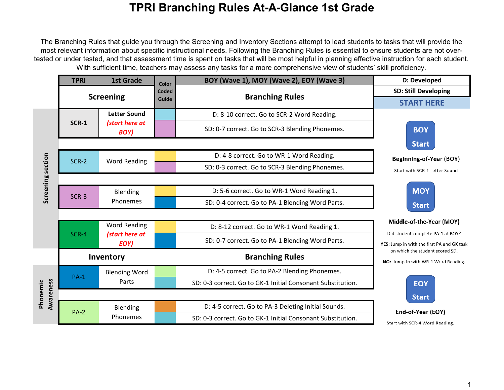The Branching Rules that guide you through the Screening and Inventory Sections attempt to lead students to tasks that will provide the most relevant information about specific instructional needs. Following the Branching Rules is essential to ensure students are not overtested or under tested, and that assessment time is spent on tasks that will be most helpful in planning effective instruction for each student. With sufficient time, teachers may assess any tasks for a more comprehensive view of students' skill proficiency.

|                       | <b>TPRI</b>      | <b>1st Grade</b>              | Color | BOY (Wave 1), MOY (Wave 2), EOY (Wave 3)                    | D: Developed                                                                    |
|-----------------------|------------------|-------------------------------|-------|-------------------------------------------------------------|---------------------------------------------------------------------------------|
|                       |                  |                               | Coded |                                                             | <b>SD: Still Developing</b>                                                     |
|                       | <b>Screening</b> |                               | Guide | <b>Branching Rules</b>                                      | <b>START HERE</b>                                                               |
|                       |                  | <b>Letter Sound</b>           |       | D: 8-10 correct. Go to SCR-2 Word Reading.                  |                                                                                 |
|                       | <b>SCR-1</b>     | (start here at<br>BOY)        |       | SD: 0-7 correct. Go to SCR-3 Blending Phonemes.             | <b>BOY</b>                                                                      |
|                       |                  |                               |       |                                                             | <b>Start</b>                                                                    |
|                       | SCR-2            | <b>Word Reading</b>           |       | D: 4-8 correct. Go to WR-1 Word Reading.                    | Beginning-of-Year (BOY)                                                         |
|                       |                  |                               |       | SD: 0-3 correct. Go to SCR-3 Blending Phonemes.             | Start with SCR-1 Letter Sound                                                   |
| Screening section     |                  |                               |       |                                                             |                                                                                 |
|                       |                  | Blending                      |       | D: 5-6 correct. Go to WR-1 Word Reading 1.                  | <b>MOY</b>                                                                      |
|                       | SCR-3            | Phonemes                      |       | SD: 0-4 correct. Go to PA-1 Blending Word Parts.            | <b>Start</b>                                                                    |
|                       |                  |                               |       |                                                             |                                                                                 |
|                       |                  | <b>Word Reading</b>           |       | D: 8-12 correct. Go to WR-1 Word Reading 1.                 | Middle-of-the-Year (MOY)                                                        |
|                       | SCR-4            | (start here at<br>EOY)        |       | SD: 0-7 correct. Go to PA-1 Blending Word Parts.            | Did student complete PA-1 at BOY?<br>YES: Jump in with the first PA and GK task |
|                       |                  | Inventory                     |       | <b>Branching Rules</b>                                      | on which the student scored SD.<br>NO: Jump-In with WR-1 Word Reading.          |
| Awareness<br>Phonemic | $PA-1$           | <b>Blending Word</b><br>Parts |       | D: 4-5 correct. Go to PA-2 Blending Phonemes.               |                                                                                 |
|                       |                  |                               |       | SD: 0-3 correct. Go to GK-1 Initial Consonant Substitution. | <b>EOY</b>                                                                      |
|                       |                  |                               |       |                                                             | <b>Start</b>                                                                    |
|                       | $PA-2$           | Blending<br>Phonemes          |       | D: 4-5 correct. Go to PA-3 Deleting Initial Sounds.         | End-of-Year (EOY)                                                               |
|                       |                  |                               |       | SD: 0-3 correct. Go to GK-1 Initial Consonant Substitution. | Start with SCR-4 Word Reading.                                                  |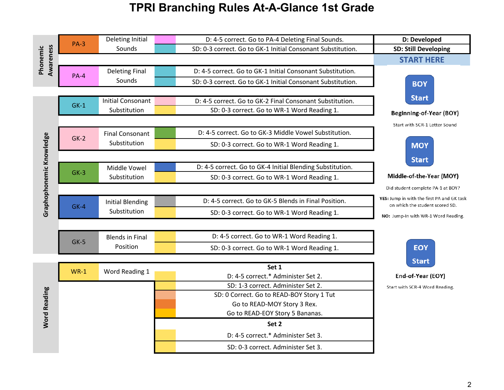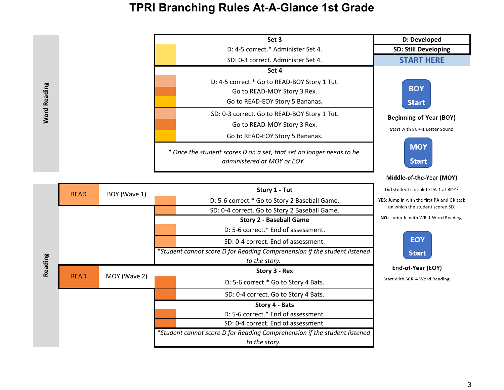**Word Reading** 

| Set 3                                                                                                          | D: Developed                                             |
|----------------------------------------------------------------------------------------------------------------|----------------------------------------------------------|
| D: 4-5 correct.* Administer Set 4.                                                                             | <b>SD: Still Developing</b>                              |
| SD: 0-3 correct. Administer Set 4.                                                                             | <b>START HERE</b>                                        |
| Set 4                                                                                                          |                                                          |
| D: 4-5 correct.* Go to READ-BOY Story 1 Tut.<br>Go to READ-MOY Story 3 Rex.<br>Go to READ-EOY Story 5 Bananas. | <b>BOY</b><br><b>Start</b>                               |
| SD: 0-3 correct. Go to READ-BOY Story 1 Tut.<br>Go to READ-MOY Story 3 Rex.<br>Go to READ-EOY Story 5 Bananas. | Beginning-of-Year (BOY)<br>Start with SCR-1 Letter Sound |
| * Once the student scores D on a set, that set no longer needs to be<br>administered at MOY or EOY.            | <b>MOY</b><br><b>Start</b>                               |